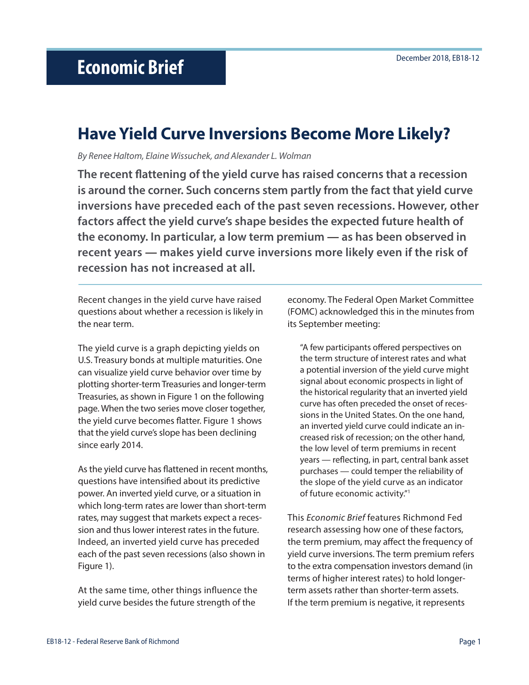# **Have Yield Curve Inversions Become More Likely?**

*By Renee Haltom, Elaine Wissuchek, and Alexander L. Wolman*

**The recent flattening of the yield curve has raised concerns that a recession is around the corner. Such concerns stem partly from the fact that yield curve inversions have preceded each of the past seven recessions. However, other factors affect the yield curve's shape besides the expected future health of the economy. In particular, a low term premium — as has been observed in recent years — makes yield curve inversions more likely even if the risk of recession has not increased at all.** 

Recent changes in the yield curve have raised questions about whether a recession is likely in the near term.

The yield curve is a graph depicting yields on U.S. Treasury bonds at multiple maturities. One can visualize yield curve behavior over time by plotting shorter-term Treasuries and longer-term Treasuries, as shown in Figure 1 on the following page. When the two series move closer together, the yield curve becomes flatter. Figure 1 shows that the yield curve's slope has been declining since early 2014.

As the yield curve has flattened in recent months, questions have intensified about its predictive power. An inverted yield curve, or a situation in which long-term rates are lower than short-term rates, may suggest that markets expect a recession and thus lower interest rates in the future. Indeed, an inverted yield curve has preceded each of the past seven recessions (also shown in Figure 1).

At the same time, other things influence the yield curve besides the future strength of the

economy. The Federal Open Market Committee (FOMC) acknowledged this in the minutes from its September meeting:

"A few participants offered perspectives on the term structure of interest rates and what a potential inversion of the yield curve might signal about economic prospects in light of the historical regularity that an inverted yield curve has often preceded the onset of recessions in the United States. On the one hand, an inverted yield curve could indicate an increased risk of recession; on the other hand, the low level of term premiums in recent years — reflecting, in part, central bank asset purchases — could temper the reliability of the slope of the yield curve as an indicator of future economic activity."1

This *Economic Brief* features Richmond Fed research assessing how one of these factors, the term premium, may affect the frequency of yield curve inversions. The term premium refers to the extra compensation investors demand (in terms of higher interest rates) to hold longerterm assets rather than shorter-term assets. If the term premium is negative, it represents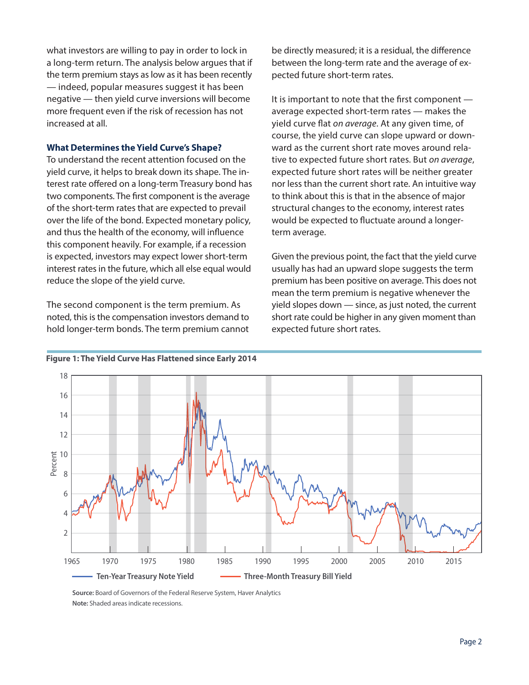what investors are willing to pay in order to lock in a long-term return. The analysis below argues that if the term premium stays as low as it has been recently — indeed, popular measures suggest it has been negative — then yield curve inversions will become more frequent even if the risk of recession has not increased at all.

#### **What Determines the Yield Curve's Shape?**

To understand the recent attention focused on the yield curve, it helps to break down its shape. The interest rate offered on a long-term Treasury bond has two components. The first component is the average of the short-term rates that are expected to prevail over the life of the bond. Expected monetary policy, and thus the health of the economy, will influence this component heavily. For example, if a recession is expected, investors may expect lower short-term interest rates in the future, which all else equal would reduce the slope of the yield curve.

The second component is the term premium. As noted, this is the compensation investors demand to hold longer-term bonds. The term premium cannot be directly measured; it is a residual, the difference between the long-term rate and the average of expected future short-term rates.

It is important to note that the first component average expected short-term rates — makes the yield curve flat *on average*. At any given time, of course, the yield curve can slope upward or downward as the current short rate moves around relative to expected future short rates. But *on average*, expected future short rates will be neither greater nor less than the current short rate. An intuitive way to think about this is that in the absence of major structural changes to the economy, interest rates would be expected to fluctuate around a longerterm average.

Given the previous point, the fact that the yield curve usually has had an upward slope suggests the term premium has been positive on average. This does not mean the term premium is negative whenever the yield slopes down — since, as just noted, the current short rate could be higher in any given moment than expected future short rates.



# **Figure 1: The Yield Curve Has Flattened since Early 2014**

**Source:** Board of Governors of the Federal Reserve System, Haver Analytics<br>Nata: Shadad areas indicate reservies **Note:** Shaded areas indicate recessions.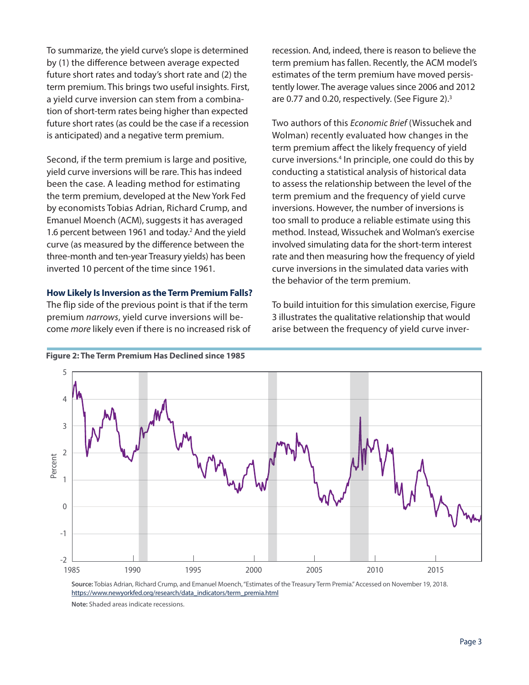To summarize, the yield curve's slope is determined by (1) the difference between average expected future short rates and today's short rate and (2) the term premium. This brings two useful insights. First, a yield curve inversion can stem from a combination of short-term rates being higher than expected future short rates (as could be the case if a recession is anticipated) and a negative term premium.

Second, if the term premium is large and positive, yield curve inversions will be rare. This has indeed been the case. A leading method for estimating the term premium, developed at the New York Fed by economists Tobias Adrian, Richard Crump, and Emanuel Moench (ACM), suggests it has averaged 1.6 percent between 1961 and today.<sup>2</sup> And the yield curve (as measured by the difference between the three-month and ten-year Treasury yields) has been inverted 10 percent of the time since 1961.

#### **How Likely Is Inversion as the Term Premium Falls?**

The flip side of the previous point is that if the term premium *narrows*, yield curve inversions will bepremium *narrows*, yield carve inversions will be<br>come *more* likely even if there is no increased risk of recession. And, indeed, there is reason to believe the term premium has fallen. Recently, the ACM model's estimates of the term premium have moved persistently lower. The average values since 2006 and 2012 are 0.77 and 0.20, respectively. (See Figure 2).3

Two authors of this *Economic Brief* (Wissuchek and Wolman) recently evaluated how changes in the term premium affect the likely frequency of yield curve inversions.<sup>4</sup> In principle, one could do this by conducting a statistical analysis of historical data to assess the relationship between the level of the term premium and the frequency of yield curve inversions. However, the number of inversions is too small to produce a reliable estimate using this method. Instead, Wissuchek and Wolman's exercise involved simulating data for the short-term interest rate and then measuring how the frequency of yield curve inversions in the simulated data varies with the behavior of the term premium.

To build intuition for this simulation exercise, Figure 3 illustrates the qualitative relationship that would arise between the frequency of yield curve inver-



**Figure 2: The Term Premium Has Declined since 1985 The Term PremiumHas Declined**

**Source:** Tobias Adrian, Richard Crump, and Emanuel Moench, "Estimates of the Treasury Term Premia." Accessed on November 19, 2018. **[https://www.newyorkfed.org/research/data\\_indicators/term\\_premia.html](https://www.newyorkfed.org/research/data_indicators/term_premia.html)** 

Note: Shaded areas indicate recessions.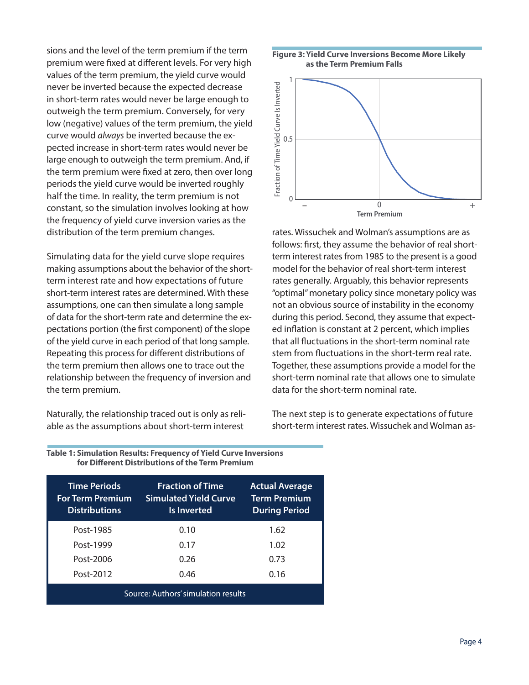sions and the level of the term premium if the term premium were fixed at different levels. For very high values of the term premium, the yield curve would never be inverted because the expected decrease in short-term rates would never be large enough to outweigh the term premium. Conversely, for very low (negative) values of the term premium, the yield curve would *always* be inverted because the expected increase in short-term rates would never be large enough to outweigh the term premium. And, if the term premium were fixed at zero, then over long periods the yield curve would be inverted roughly half the time. In reality, the term premium is not constant, so the simulation involves looking at how the frequency of yield curve inversion varies as the distribution of the term premium changes. d<br>f<br>g

Simulating data for the yield curve slope requires making assumptions about the behavior of the shortterm interest rate and how expectations of future short-term interest rates are determined. With these assumptions, one can then simulate a long sample of data for the short-term rate and determine the expectations portion (the first component) of the slope of the yield curve in each period of that long sample. Repeating this process for different distributions of the term premium then allows one to trace out the relationship between the frequency of inversion and the term premium.

Naturally, the relationship traced out is only as reliable as the assumptions about short-term interest

Post-2012





rates. Wissuchek and Wolman's assumptions are as follows: first, they assume the behavior of real shortes term interest rates from 1985 to the present is a good model for the behavior of real short-term interest rates generally. Arguably, this behavior represents "optimal" monetary policy since monetary policy was not an obvious source of instability in the economy during this period. Second, they assume that expected inflation is constant at 2 percent, which implies that all fluctuations in the short-term nominal rate stem from fluctuations in the short-term real rate. Together, these assumptions provide a model for the short-term nominal rate that allows one to simulate data for the short-term nominal rate. the directed operations in the directed to the EBS. Maybe include the EBS. Maybe include EB. Maybe include EB

> The next step is to generate expectations of future short-term interest rates. Wissuchek and Wolman as-

| for Different Distributions of the Term Premium                        |                                                                        |                                                                      |
|------------------------------------------------------------------------|------------------------------------------------------------------------|----------------------------------------------------------------------|
| <b>Time Periods</b><br><b>For Term Premium</b><br><b>Distributions</b> | <b>Fraction of Time</b><br><b>Simulated Yield Curve</b><br>Is Inverted | <b>Actual Average</b><br><b>Term Premium</b><br><b>During Period</b> |
| Post-1985                                                              | 0.10                                                                   | 1.62                                                                 |
| Post-1999                                                              |                                                                        | 1.02                                                                 |

Post-2006 0.26 0.73

Source: Authors' simulation results

0.46 0.16

**Table 1: Simulation Results: Frequency of Yield Curve Inversions for Different Distributions of the Term Premium**